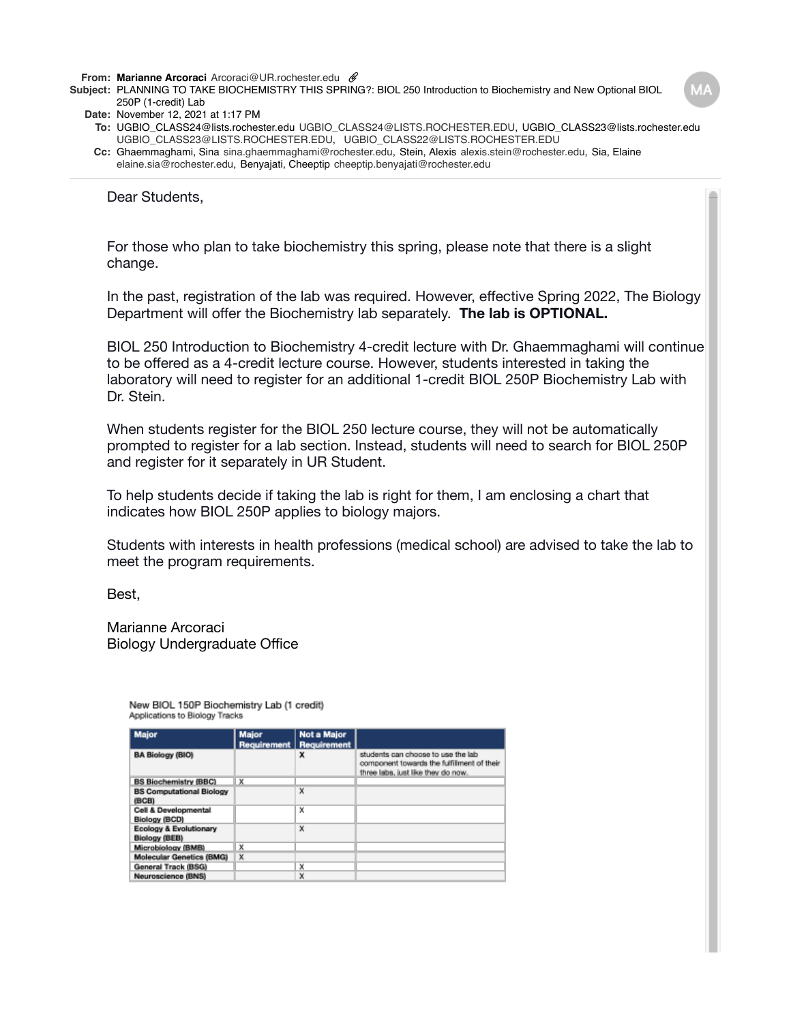**From: Marianne [Arcoraci](mailto:ArcoraciArcoraci@UR.rochester.edu)** [Arcoraci@UR.rochester.edu](mailto:ArcoraciArcoraci@UR.rochester.edu)

**Subject:** PLANNING TO TAKE BIOCHEMISTRY THIS SPRING?: BIOL 250 Introduction to Biochemistry and New Optional BIOL 250P (1-credit) Lab

```
Date: November 12, 2021 at 1:17 PM
```
**To:** UGBIO\_CLASS24@[lists.rochester.edu](mailto:lists.rochester.eduUGBIO_CLASS24@LISTS.ROCHESTER.EDU) [UGBIO\\_CLASS24@LISTS.ROCHESTER.EDU,](mailto:lists.rochester.eduUGBIO_CLASS24@LISTS.ROCHESTER.EDU) UGBIO\_CLASS23@[lists.rochester.edu](mailto:lists.rochester.eduUGBIO_CLASS23@LISTS.ROCHESTER.EDU) [UGBIO\\_CLASS23@LISTS.ROCHESTER.EDU,](mailto:lists.rochester.eduUGBIO_CLASS23@LISTS.ROCHESTER.EDU) [UGBIO\\_CLASS22@LISTS.ROCHESTER.EDU](mailto:UGBIO_CLASS22@LISTS.ROCHESTER.EDU)

**Cc:** Ghaemmaghami, [Sina](mailto:Sinasina.ghaemmaghami@rochester.edu) [sina.ghaemmaghami@rochester.edu](mailto:Sinasina.ghaemmaghami@rochester.edu), Stein, [Alexis](mailto:Alexisalexis.stein@rochester.edu) [alexis.stein@rochester.edu,](mailto:Alexisalexis.stein@rochester.edu) Sia, [Elaine](mailto:Elaineelaine.sia@rochester.edu) [elaine.sia@rochester.edu,](mailto:Elaineelaine.sia@rochester.edu) Benyajati, [Cheeptip](mailto:Cheeptipcheeptip.benyajati@rochester.edu) [cheeptip.benyajati@rochester.edu](mailto:Cheeptipcheeptip.benyajati@rochester.edu)

Dear Students,

For those who plan to take biochemistry this spring, please note that there is a slight change.

In the past, registration of the lab was required. However, effective Spring 2022, The Biology Department will offer the Biochemistry lab separately. **The lab is OPTIONAL.**

BIOL 250 Introduction to Biochemistry 4-credit lecture with Dr. Ghaemmaghami will continue to be offered as a 4-credit lecture course. However, students interested in taking the laboratory will need to register for an additional 1-credit BIOL 250P Biochemistry Lab with Dr. Stein.

When students register for the BIOL 250 lecture course, they will not be automatically prompted to register for a lab section. Instead, students will need to search for BIOL 250P and register for it separately in UR Student.

To help students decide if taking the lab is right for them, I am enclosing a chart that indicates how BIOL 250P applies to biology majors.

Students with interests in health professions (medical school) are advised to take the lab to meet the program requirements.

Best,

Marianne Arcoraci Biology Undergraduate Office

> New BIOL 150P Biochemistry Lab (1 credit) Applications to Biology Tracks

| <b>Major</b>                                   | <b>Major</b><br>Requirement | Not a Major<br><b>Requirement</b> |                                                                                                                        |
|------------------------------------------------|-----------------------------|-----------------------------------|------------------------------------------------------------------------------------------------------------------------|
| <b>BA Biology (BIO)</b>                        |                             | x                                 | students can choose to use the lab<br>component towards the fulfillment of their<br>three labs, just like they do now. |
| <b>BS Biochemistry (BBC)</b>                   | х                           |                                   |                                                                                                                        |
| <b>BS Computational Biology</b><br>(BCB)       |                             | x                                 |                                                                                                                        |
| Cell & Developmental<br><b>Biology (BCD)</b>   |                             | x                                 |                                                                                                                        |
| Ecology & Evolutionary<br><b>Biology (BEB)</b> |                             | x                                 |                                                                                                                        |
| Microbiology (BMB)                             | х                           |                                   |                                                                                                                        |
| Molecular Genetics (BMG)                       | X                           |                                   |                                                                                                                        |
| General Track (BSG)                            |                             | x                                 |                                                                                                                        |
| Neuroscience (BNS)                             |                             | x                                 |                                                                                                                        |